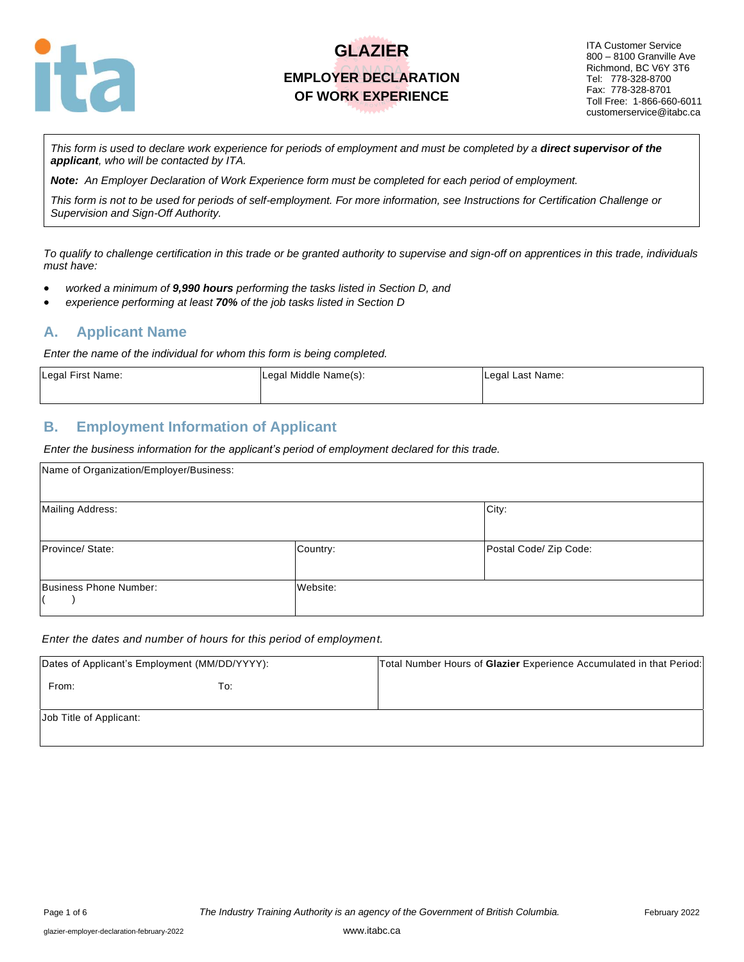

ITA Customer Service 800 – 8100 Granville Ave Richmond, BC V6Y 3T6 Tel: 778-328-8700 Fax: 778-328-8701 Toll Free: 1-866-660-6011 customerservice@itabc.ca

*This form is used to declare work experience for periods of employment and must be completed by a direct supervisor of the applicant, who will be contacted by ITA.*

*Note: An Employer Declaration of Work Experience form must be completed for each period of employment.*

*This form is not to be used for periods of self-employment. For more information, see Instructions for Certification Challenge or Supervision and Sign-Off Authority.*

*To qualify to challenge certification in this trade or be granted authority to supervise and sign-off on apprentices in this trade, individuals must have:*

- *worked a minimum of 9,990 hours performing the tasks listed in Section D, and*
- *experience performing at least 70% of the job tasks listed in Section D*

#### **A. Applicant Name**

*Enter the name of the individual for whom this form is being completed.*

| Legal First Name: | Legal Middle Name(s): | Legal Last Name: |
|-------------------|-----------------------|------------------|
|                   |                       |                  |

#### **B. Employment Information of Applicant**

*Enter the business information for the applicant's period of employment declared for this trade.*

| Name of Organization/Employer/Business: |          |                        |
|-----------------------------------------|----------|------------------------|
| Mailing Address:                        |          | City:                  |
| Province/ State:                        | Country: | Postal Code/ Zip Code: |
| Business Phone Number:                  | Website: |                        |

#### *Enter the dates and number of hours for this period of employment.*

| Dates of Applicant's Employment (MM/DD/YYYY): |     | Total Number Hours of Glazier Experience Accumulated in that Period: |  |  |
|-----------------------------------------------|-----|----------------------------------------------------------------------|--|--|
| From:                                         | To: |                                                                      |  |  |
| Job Title of Applicant:                       |     |                                                                      |  |  |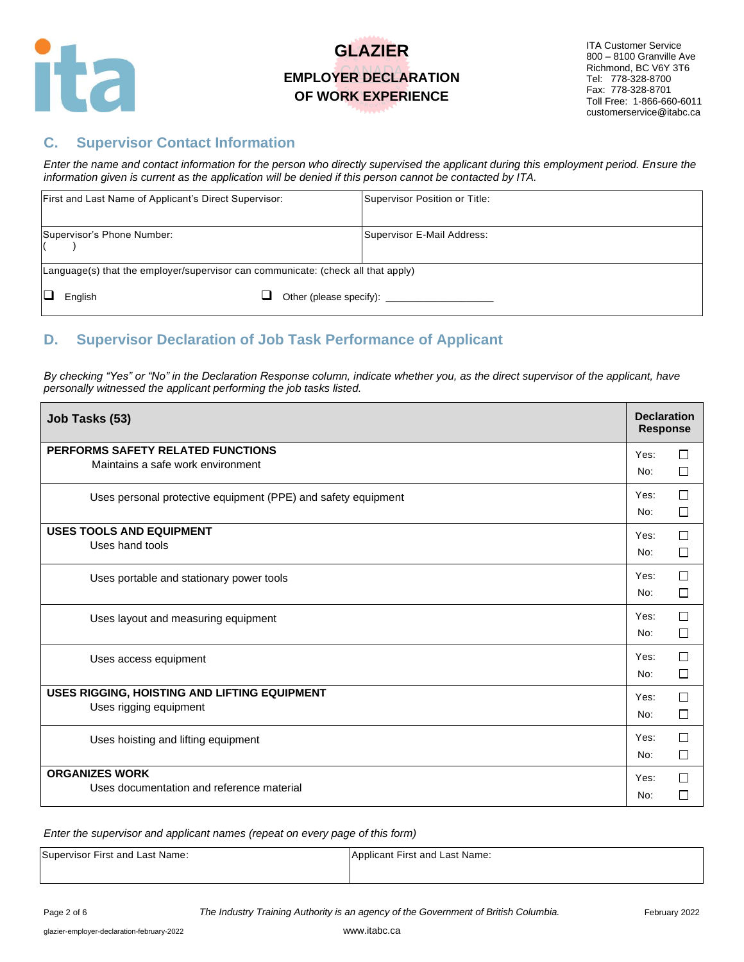

### **C. Supervisor Contact Information**

*Enter the name and contact information for the person who directly supervised the applicant during this employment period. Ensure the information given is current as the application will be denied if this person cannot be contacted by ITA.*

| First and Last Name of Applicant's Direct Supervisor:                            |  | Supervisor Position or Title:          |
|----------------------------------------------------------------------------------|--|----------------------------------------|
| Supervisor's Phone Number:                                                       |  | Supervisor E-Mail Address:             |
| Language(s) that the employer/supervisor can communicate: (check all that apply) |  |                                        |
| English                                                                          |  | Other (please specify): ______________ |

### **D. Supervisor Declaration of Job Task Performance of Applicant**

*By checking "Yes" or "No" in the Declaration Response column, indicate whether you, as the direct supervisor of the applicant, have personally witnessed the applicant performing the job tasks listed.* 

| Job Tasks (53)                                                         | <b>Declaration</b><br><b>Response</b> |                  |
|------------------------------------------------------------------------|---------------------------------------|------------------|
| PERFORMS SAFETY RELATED FUNCTIONS<br>Maintains a safe work environment | Yes:<br>No:                           | $\Box$<br>$\Box$ |
| Uses personal protective equipment (PPE) and safety equipment          | Yes:<br>No:                           | □<br>□           |
| <b>USES TOOLS AND EQUIPMENT</b><br>Uses hand tools                     | Yes:<br>No:                           | $\Box$<br>$\Box$ |
| Uses portable and stationary power tools                               | Yes:<br>No:                           | П<br>□           |
| Uses layout and measuring equipment                                    | Yes:<br>No:                           | $\Box$<br>□      |
| Uses access equipment                                                  | Yes:<br>No:                           | $\Box$<br>$\Box$ |
| USES RIGGING, HOISTING AND LIFTING EQUIPMENT<br>Uses rigging equipment | Yes:<br>No:                           | $\Box$<br>$\Box$ |
| Uses hoisting and lifting equipment                                    | Yes:<br>No:                           | $\Box$<br>□      |
| <b>ORGANIZES WORK</b><br>Uses documentation and reference material     | Yes:<br>No:                           | $\Box$<br>$\Box$ |

*Enter the supervisor and applicant names (repeat on every page of this form)*

Supervisor First and Last Name: Applicant First and Last Name: Applicant First and Last Name: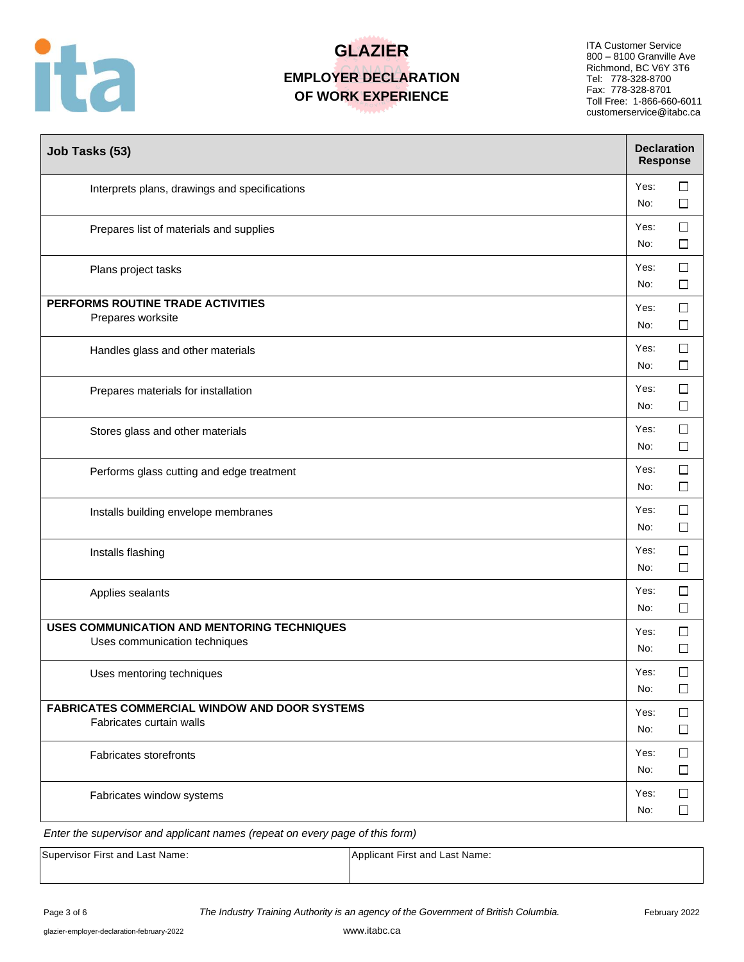

ITA Customer Service 800 – 8100 Granville Ave Richmond, BC V6Y 3T6 Tel: 778-328-8700 Fax: 778-328-8701 Toll Free: 1-866-660-6011 customerservice@itabc.ca

| Job Tasks (53)                                                                   |             | <b>Declaration</b><br><b>Response</b> |  |  |
|----------------------------------------------------------------------------------|-------------|---------------------------------------|--|--|
| Interprets plans, drawings and specifications                                    | Yes:<br>No: | □<br>□                                |  |  |
| Prepares list of materials and supplies                                          | Yes:<br>No: | $\Box$<br>⊔                           |  |  |
| Plans project tasks                                                              | Yes:<br>No: | $\Box$<br>□                           |  |  |
| PERFORMS ROUTINE TRADE ACTIVITIES<br>Prepares worksite                           | Yes:<br>No: | $\Box$<br>□                           |  |  |
| Handles glass and other materials                                                | Yes:<br>No: | $\Box$<br>$\Box$                      |  |  |
| Prepares materials for installation                                              | Yes:<br>No: | $\Box$<br>$\Box$                      |  |  |
| Stores glass and other materials                                                 | Yes:<br>No: | □<br>□                                |  |  |
| Performs glass cutting and edge treatment                                        | Yes:<br>No: | □<br>□                                |  |  |
| Installs building envelope membranes                                             | Yes:<br>No: | □<br>$\Box$                           |  |  |
| Installs flashing                                                                | Yes:<br>No: | $\Box$<br>□                           |  |  |
| Applies sealants                                                                 | Yes:<br>No: | □<br>□                                |  |  |
| USES COMMUNICATION AND MENTORING TECHNIQUES<br>Uses communication techniques     | Yes:<br>No: | $\Box$<br>□                           |  |  |
| Uses mentoring techniques                                                        | Yes:<br>No: | $\Box$<br>$\Box$                      |  |  |
| <b>FABRICATES COMMERCIAL WINDOW AND DOOR SYSTEMS</b><br>Fabricates curtain walls | Yes:<br>No: | □<br>□                                |  |  |
| <b>Fabricates storefronts</b>                                                    | Yes:<br>No: | $\Box$<br>$\Box$                      |  |  |
| Fabricates window systems                                                        | Yes:<br>No: | $\Box$<br>$\Box$                      |  |  |

*Enter the supervisor and applicant names (repeat on every page of this form)*

| Supervisor First and Last Name: | Applicant First and Last Name: |
|---------------------------------|--------------------------------|
|                                 |                                |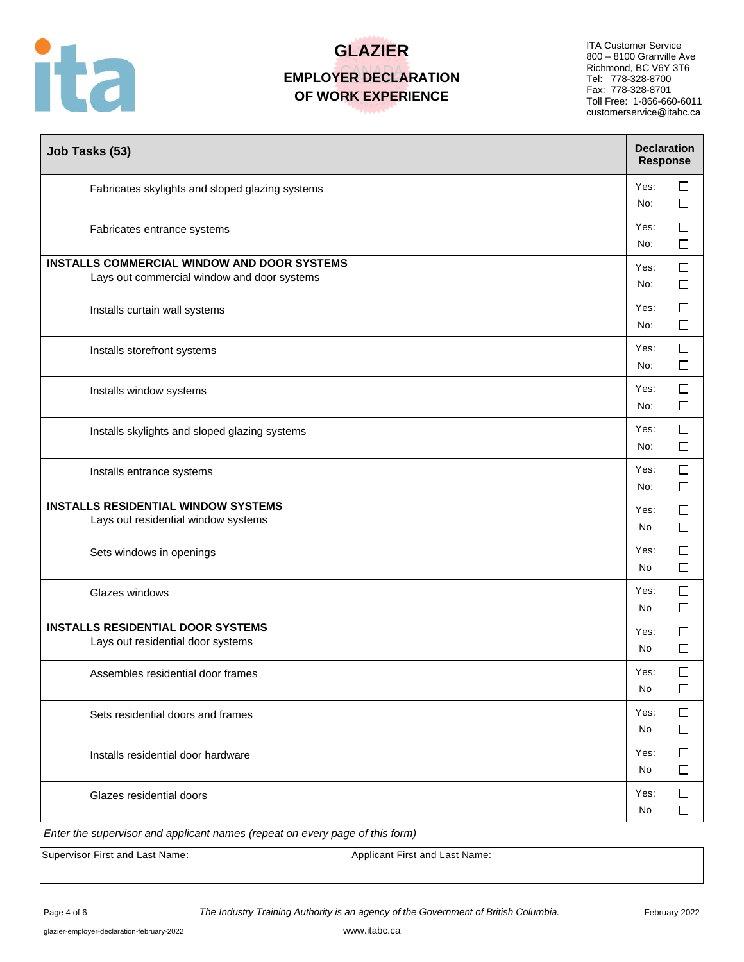

ITA Customer Service 800 – 8100 Granville Ave Richmond, BC V6Y 3T6 Tel: 778-328-8700 Fax: 778-328-8701 Toll Free: 1-866-660-6011 customerservice@itabc.ca

| Job Tasks (53)                                                                                    |             | <b>Declaration</b><br><b>Response</b> |  |  |
|---------------------------------------------------------------------------------------------------|-------------|---------------------------------------|--|--|
| Fabricates skylights and sloped glazing systems                                                   | Yes:<br>No: | ப<br>П                                |  |  |
| Fabricates entrance systems                                                                       | Yes:<br>No: | □<br>П                                |  |  |
| <b>INSTALLS COMMERCIAL WINDOW AND DOOR SYSTEMS</b><br>Lays out commercial window and door systems | Yes:<br>No: | $\Box$<br>□                           |  |  |
| Installs curtain wall systems                                                                     | Yes:<br>No: | $\Box$<br>$\Box$                      |  |  |
| Installs storefront systems                                                                       | Yes:<br>No: | $\Box$<br>$\Box$                      |  |  |
| Installs window systems                                                                           | Yes:<br>No: | $\Box$<br>$\Box$                      |  |  |
| Installs skylights and sloped glazing systems                                                     | Yes:<br>No: | $\Box$<br>$\Box$                      |  |  |
| Installs entrance systems                                                                         | Yes:<br>No: | □<br>$\Box$                           |  |  |
| <b>INSTALLS RESIDENTIAL WINDOW SYSTEMS</b><br>Lays out residential window systems                 | Yes:<br>No  | □<br>$\Box$                           |  |  |
| Sets windows in openings                                                                          | Yes:<br>No  | $\Box$<br>$\Box$                      |  |  |
| Glazes windows                                                                                    | Yes:<br>No  | □<br>□                                |  |  |
| <b>INSTALLS RESIDENTIAL DOOR SYSTEMS</b><br>Lays out residential door systems                     | Yes:<br>No  | $\Box$<br>□                           |  |  |
| Assembles residential door frames                                                                 | Yes:<br>No  | $\Box$<br>□                           |  |  |
| Sets residential doors and frames                                                                 | Yes:<br>No  | □<br>ப                                |  |  |
| Installs residential door hardware                                                                | Yes:<br>No  | □<br>⊔                                |  |  |
| Glazes residential doors                                                                          | Yes:<br>No  | □<br>□                                |  |  |

*Enter the supervisor and applicant names (repeat on every page of this form)*

| Supervisor First and Last Name: | Applicant First and Last Name: |
|---------------------------------|--------------------------------|
|                                 |                                |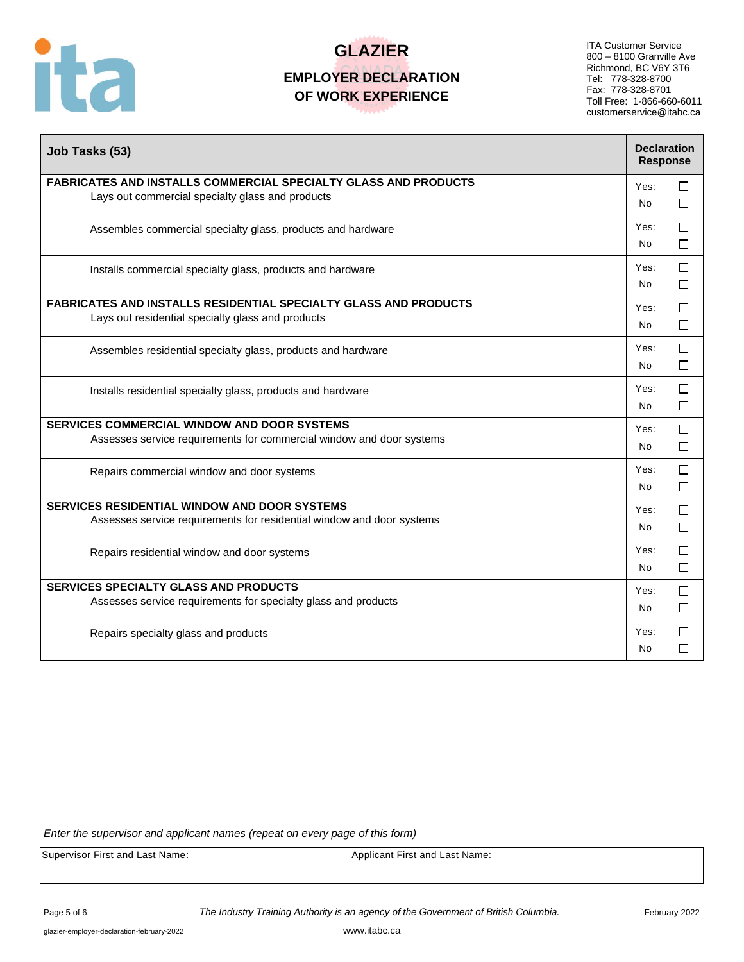

ITA Customer Service 800 – 8100 Granville Ave Richmond, BC V6Y 3T6 Tel: 778-328-8700 Fax: 778-328-8701 Toll Free: 1-866-660-6011 customerservice@itabc.ca

| Job Tasks (53)                                                                                                               |                   |             |
|------------------------------------------------------------------------------------------------------------------------------|-------------------|-------------|
| <b>FABRICATES AND INSTALLS COMMERCIAL SPECIALTY GLASS AND PRODUCTS</b><br>Lays out commercial specialty glass and products   | Yes:<br><b>No</b> | □<br>П      |
| Assembles commercial specialty glass, products and hardware                                                                  | Yes:<br>No.       | $\Box$<br>П |
| Installs commercial specialty glass, products and hardware                                                                   | Yes:<br>No.       | $\Box$<br>□ |
| <b>FABRICATES AND INSTALLS RESIDENTIAL SPECIALTY GLASS AND PRODUCTS</b><br>Lays out residential specialty glass and products | Yes:<br><b>No</b> | $\Box$<br>П |
| Assembles residential specialty glass, products and hardware                                                                 | Yes:<br>No.       | $\Box$<br>□ |
| Installs residential specialty glass, products and hardware                                                                  | Yes:<br>No.       | □<br>$\Box$ |
| <b>SERVICES COMMERCIAL WINDOW AND DOOR SYSTEMS</b><br>Assesses service requirements for commercial window and door systems   | Yes:<br>No.       | □<br>П      |
| Repairs commercial window and door systems                                                                                   | Yes:<br><b>No</b> | П<br>□      |
| SERVICES RESIDENTIAL WINDOW AND DOOR SYSTEMS<br>Assesses service requirements for residential window and door systems        | Yes:<br><b>No</b> | $\Box$<br>□ |
| Repairs residential window and door systems                                                                                  | Yes:<br><b>No</b> | П<br>$\Box$ |
| <b>SERVICES SPECIALTY GLASS AND PRODUCTS</b><br>Assesses service requirements for specialty glass and products               | Yes:<br>No.       | $\Box$<br>□ |
| Repairs specialty glass and products                                                                                         | Yes:<br>No        | П<br>П      |

*Enter the supervisor and applicant names (repeat on every page of this form)*

Supervisor First and Last Name: Applicant First and Last Name:

Page 5 of 6 **The Industry Training Authority is an agency of the Government of British Columbia.** February 2022